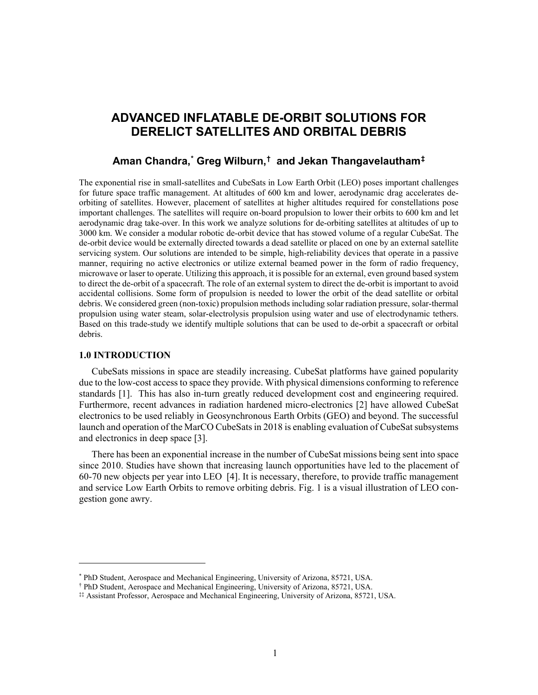# **ADVANCED INFLATABLE DE-ORBIT SOLUTIONS FOR DERELICT SATELLITES AND ORBITAL DEBRIS**

## **Aman Chandra, [\\*](#page-0-0) Greg Wilburn, [†](#page-0-1) and Jekan Thangavelautham[‡](#page-0-2)**

The exponential rise in small-satellites and CubeSats in Low Earth Orbit (LEO) poses important challenges for future space traffic management. At altitudes of 600 km and lower, aerodynamic drag accelerates deorbiting of satellites. However, placement of satellites at higher altitudes required for constellations pose important challenges. The satellites will require on-board propulsion to lower their orbits to 600 km and let aerodynamic drag take-over. In this work we analyze solutions for de-orbiting satellites at altitudes of up to 3000 km. We consider a modular robotic de-orbit device that has stowed volume of a regular CubeSat. The de-orbit device would be externally directed towards a dead satellite or placed on one by an external satellite servicing system. Our solutions are intended to be simple, high-reliability devices that operate in a passive manner, requiring no active electronics or utilize external beamed power in the form of radio frequency, microwave or laser to operate. Utilizing this approach, it is possible for an external, even ground based system to direct the de-orbit of a spacecraft. The role of an external system to direct the de-orbit is important to avoid accidental collisions. Some form of propulsion is needed to lower the orbit of the dead satellite or orbital debris. We considered green (non-toxic) propulsion methods including solar radiation pressure, solar-thermal propulsion using water steam, solar-electrolysis propulsion using water and use of electrodynamic tethers. Based on this trade-study we identify multiple solutions that can be used to de-orbit a spacecraft or orbital debris.

## **1.0 INTRODUCTION**

 $\overline{a}$ 

CubeSats missions in space are steadily increasing. CubeSat platforms have gained popularity due to the low-cost access to space they provide. With physical dimensions conforming to reference standards [1]. This has also in-turn greatly reduced development cost and engineering required. Furthermore, recent advances in radiation hardened micro-electronics [2] have allowed CubeSat electronics to be used reliably in Geosynchronous Earth Orbits (GEO) and beyond. The successful launch and operation of the MarCO CubeSats in 2018 is enabling evaluation of CubeSat subsystems and electronics in deep space [3].

There has been an exponential increase in the number of CubeSat missions being sent into space since 2010. Studies have shown that increasing launch opportunities have led to the placement of 60-70 new objects per year into LEO [4]. It is necessary, therefore, to provide traffic management and service Low Earth Orbits to remove orbiting debris. Fig. 1 is a visual illustration of LEO congestion gone awry.

<sup>\*</sup> PhD Student, Aerospace and Mechanical Engineering, University of Arizona, 85721, USA.

<span id="page-0-2"></span><span id="page-0-1"></span><span id="page-0-0"></span><sup>†</sup> PhD Student, Aerospace and Mechanical Engineering, University of Arizona, 85721, USA.

<sup>‡‡</sup> Assistant Professor, Aerospace and Mechanical Engineering, University of Arizona, 85721, USA.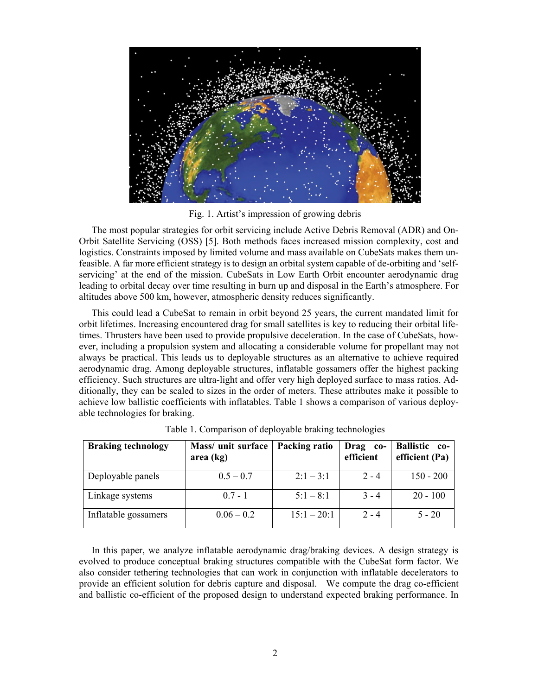

Fig. 1. Artist's impression of growing debris

The most popular strategies for orbit servicing include Active Debris Removal (ADR) and On-Orbit Satellite Servicing (OSS) [5]. Both methods faces increased mission complexity, cost and logistics. Constraints imposed by limited volume and mass available on CubeSats makes them unfeasible. A far more efficient strategy is to design an orbital system capable of de-orbiting and 'selfservicing' at the end of the mission. CubeSats in Low Earth Orbit encounter aerodynamic drag leading to orbital decay over time resulting in burn up and disposal in the Earth's atmosphere. For altitudes above 500 km, however, atmospheric density reduces significantly.

This could lead a CubeSat to remain in orbit beyond 25 years, the current mandated limit for orbit lifetimes. Increasing encountered drag for small satellites is key to reducing their orbital lifetimes. Thrusters have been used to provide propulsive deceleration. In the case of CubeSats, however, including a propulsion system and allocating a considerable volume for propellant may not always be practical. This leads us to deployable structures as an alternative to achieve required aerodynamic drag. Among deployable structures, inflatable gossamers offer the highest packing efficiency. Such structures are ultra-light and offer very high deployed surface to mass ratios. Additionally, they can be scaled to sizes in the order of meters. These attributes make it possible to achieve low ballistic coefficients with inflatables. Table 1 shows a comparison of various deployable technologies for braking.

| <b>Braking technology</b> | Mass/ unit surface<br>area (kg) | Packing ratio | <b>Drag</b><br>$co-$<br>efficient | <b>Ballistic</b> co-<br>efficient (Pa) |
|---------------------------|---------------------------------|---------------|-----------------------------------|----------------------------------------|
| Deployable panels         | $0.5 - 0.7$                     | $2:1 - 3:1$   | $2 - 4$                           | $150 - 200$                            |
| Linkage systems           | $0.7 - 1$                       | $5:1 - 8:1$   | $3 - 4$                           | $20 - 100$                             |
| Inflatable gossamers      | $0.06 - 0.2$                    | $15:1 - 20:1$ | $2 - 4$                           | $5 - 20$                               |

Table 1. Comparison of deployable braking technologies

In this paper, we analyze inflatable aerodynamic drag/braking devices. A design strategy is evolved to produce conceptual braking structures compatible with the CubeSat form factor. We also consider tethering technologies that can work in conjunction with inflatable decelerators to provide an efficient solution for debris capture and disposal. We compute the drag co-efficient and ballistic co-efficient of the proposed design to understand expected braking performance. In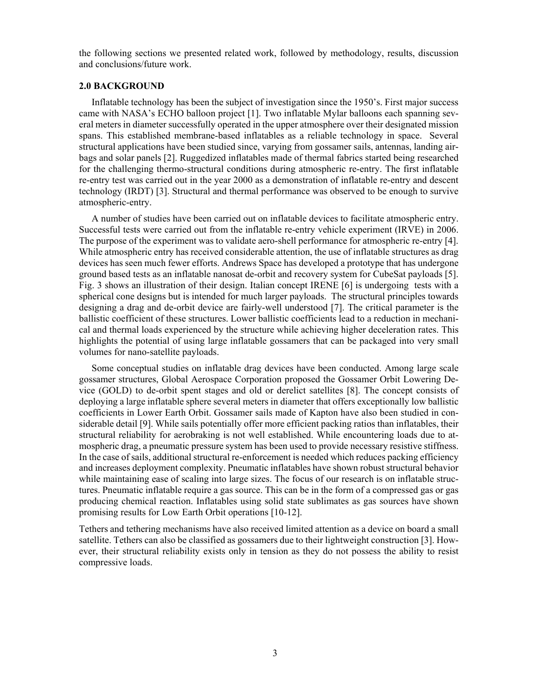the following sections we presented related work, followed by methodology, results, discussion and conclusions/future work.

### **2.0 BACKGROUND**

Inflatable technology has been the subject of investigation since the 1950's. First major success came with NASA's ECHO balloon project [1]. Two inflatable Mylar balloons each spanning several meters in diameter successfully operated in the upper atmosphere over their designated mission spans. This established membrane-based inflatables as a reliable technology in space. Several structural applications have been studied since, varying from gossamer sails, antennas, landing airbags and solar panels [2]. Ruggedized inflatables made of thermal fabrics started being researched for the challenging thermo-structural conditions during atmospheric re-entry. The first inflatable re-entry test was carried out in the year 2000 as a demonstration of inflatable re-entry and descent technology (IRDT) [3]. Structural and thermal performance was observed to be enough to survive atmospheric-entry.

A number of studies have been carried out on inflatable devices to facilitate atmospheric entry. Successful tests were carried out from the inflatable re-entry vehicle experiment (IRVE) in 2006. The purpose of the experiment was to validate aero-shell performance for atmospheric re-entry [4]. While atmospheric entry has received considerable attention, the use of inflatable structures as drag devices has seen much fewer efforts. Andrews Space has developed a prototype that has undergone ground based tests as an inflatable nanosat de-orbit and recovery system for CubeSat payloads [5]. Fig. 3 shows an illustration of their design. Italian concept IRENE [6] is undergoing tests with a spherical cone designs but is intended for much larger payloads. The structural principles towards designing a drag and de-orbit device are fairly-well understood [7]. The critical parameter is the ballistic coefficient of these structures. Lower ballistic coefficients lead to a reduction in mechanical and thermal loads experienced by the structure while achieving higher deceleration rates. This highlights the potential of using large inflatable gossamers that can be packaged into very small volumes for nano-satellite payloads.

Some conceptual studies on inflatable drag devices have been conducted. Among large scale gossamer structures, Global Aerospace Corporation proposed the Gossamer Orbit Lowering Device (GOLD) to de-orbit spent stages and old or derelict satellites [8]. The concept consists of deploying a large inflatable sphere several meters in diameter that offers exceptionally low ballistic coefficients in Lower Earth Orbit. Gossamer sails made of Kapton have also been studied in considerable detail [9]. While sails potentially offer more efficient packing ratios than inflatables, their structural reliability for aerobraking is not well established. While encountering loads due to atmospheric drag, a pneumatic pressure system has been used to provide necessary resistive stiffness. In the case of sails, additional structural re-enforcement is needed which reduces packing efficiency and increases deployment complexity. Pneumatic inflatables have shown robust structural behavior while maintaining ease of scaling into large sizes. The focus of our research is on inflatable structures. Pneumatic inflatable require a gas source. This can be in the form of a compressed gas or gas producing chemical reaction. Inflatables using solid state sublimates as gas sources have shown promising results for Low Earth Orbit operations [10-12].

Tethers and tethering mechanisms have also received limited attention as a device on board a small satellite. Tethers can also be classified as gossamers due to their lightweight construction [3]. However, their structural reliability exists only in tension as they do not possess the ability to resist compressive loads.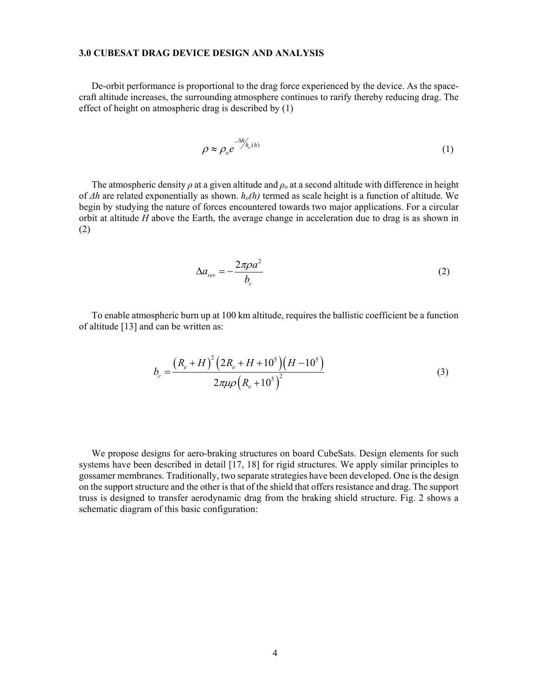## **3.0 CUBESAT DRAG DEVICE DESIGN AND ANALYSIS**

De-orbit performance is proportional to the drag force experienced by the device. As the spacecraft altitude increases, the surrounding atmosphere continues to rarify thereby reducing drag. The effect of height on atmospheric drag is described by (1)

$$
\rho \approx \rho_o e^{-\Delta h'_{h_o(h)}} \tag{1}
$$

The atmospheric density *ρ* at a given altitude and *ρ<sup>o</sup>* at a second altitude with difference in height of *Δh* are related exponentially as shown. *ho(h)* termed as scale height is a function of altitude. We begin by studying the nature of forces encountered towards two major applications. For a circular orbit at altitude *H* above the Earth, the average change in acceleration due to drag is as shown in (2)

$$
\Delta a_{rev} = -\frac{2\pi \rho a^2}{b_c} \tag{2}
$$

To enable atmospheric burn up at 100 km altitude, requires the ballistic coefficient be a function of altitude [13] and can be written as:

$$
b_c = \frac{\left(R_e + H\right)^2 \left(2R_e + H + 10^5\right) \left(H - 10^5\right)}{2\pi\mu\rho \left(R_e + 10^5\right)^2}
$$
\n(3)

We propose designs for aero-braking structures on board CubeSats. Design elements for such systems have been described in detail [17, 18] for rigid structures. We apply similar principles to gossamer membranes. Traditionally, two separate strategies have been developed. One is the design on the support structure and the other is that of the shield that offers resistance and drag. The support truss is designed to transfer aerodynamic drag from the braking shield structure. Fig. 2 shows a schematic diagram of this basic configuration: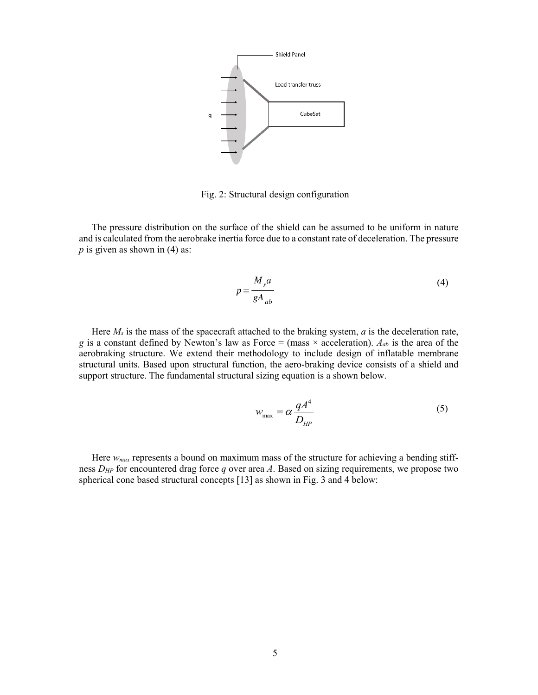

Fig. 2: Structural design configuration

The pressure distribution on the surface of the shield can be assumed to be uniform in nature and is calculated from the aerobrake inertia force due to a constant rate of deceleration. The pressure *p* is given as shown in (4) as:

$$
p = \frac{M_s a}{g A_{ab}}
$$
 (4)

Here *Ms* is the mass of the spacecraft attached to the braking system, *a* is the deceleration rate, *g* is a constant defined by Newton's law as Force = (mass  $\times$  acceleration).  $A_{ab}$  is the area of the aerobraking structure. We extend their methodology to include design of inflatable membrane structural units. Based upon structural function, the aero-braking device consists of a shield and support structure. The fundamental structural sizing equation is a shown below.

$$
w_{\text{max}} = \alpha \frac{qA^4}{D_{HP}}
$$
 (5)

Here *wmax* represents a bound on maximum mass of the structure for achieving a bending stiffness *DHP* for encountered drag force *q* over area *A*. Based on sizing requirements, we propose two spherical cone based structural concepts [13] as shown in Fig. 3 and 4 below: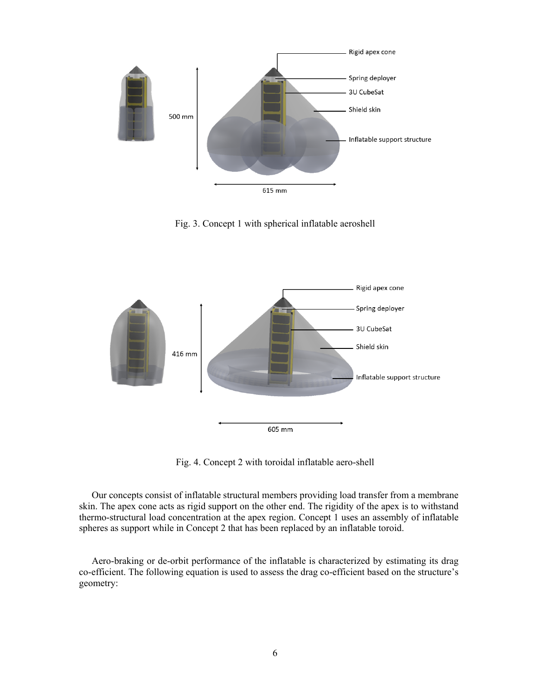

Fig. 3. Concept 1 with spherical inflatable aeroshell



Fig. 4. Concept 2 with toroidal inflatable aero-shell

Our concepts consist of inflatable structural members providing load transfer from a membrane skin. The apex cone acts as rigid support on the other end. The rigidity of the apex is to withstand thermo-structural load concentration at the apex region. Concept 1 uses an assembly of inflatable spheres as support while in Concept 2 that has been replaced by an inflatable toroid.

Aero-braking or de-orbit performance of the inflatable is characterized by estimating its drag co-efficient. The following equation is used to assess the drag co-efficient based on the structure's geometry: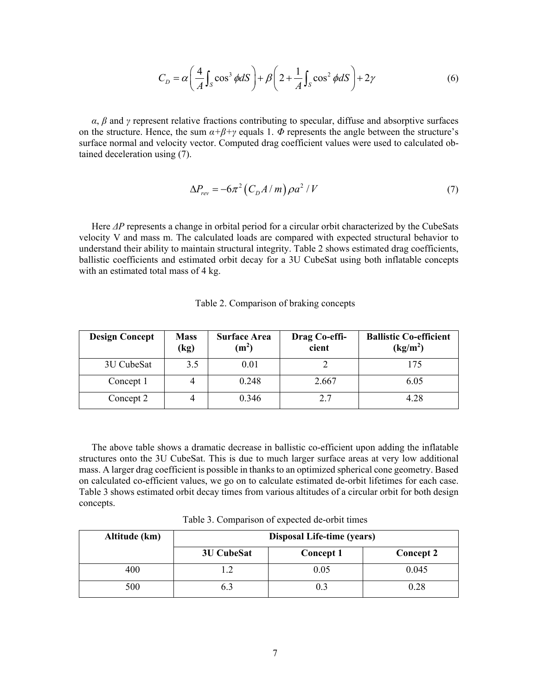$$
C_D = \alpha \left(\frac{4}{A} \int_S \cos^3 \phi dS\right) + \beta \left(2 + \frac{1}{A} \int_S \cos^2 \phi dS\right) + 2\gamma
$$
 (6)

 $\alpha$ ,  $\beta$  and  $\gamma$  represent relative fractions contributing to specular, diffuse and absorptive surfaces on the structure. Hence, the sum  $\alpha+\beta+\gamma$  equals 1.  $\Phi$  represents the angle between the structure's surface normal and velocity vector. Computed drag coefficient values were used to calculated obtained deceleration using (7).

$$
\Delta P_{rev} = -6\pi^2 \left( C_D A / m \right) \rho a^2 / V \tag{7}
$$

Here *ΔP* represents a change in orbital period for a circular orbit characterized by the CubeSats velocity V and mass m. The calculated loads are compared with expected structural behavior to understand their ability to maintain structural integrity. Table 2 shows estimated drag coefficients, ballistic coefficients and estimated orbit decay for a 3U CubeSat using both inflatable concepts with an estimated total mass of 4 kg.

| <b>Design Concept</b> | <b>Mass</b><br>(kg) | <b>Surface Area</b><br>(m <sup>2</sup> ) | Drag Co-effi-<br>cient | <b>Ballistic Co-efficient</b><br>(kg/m <sup>2</sup> ) |
|-----------------------|---------------------|------------------------------------------|------------------------|-------------------------------------------------------|
| 3U CubeSat            | 3.5                 | 0.01                                     |                        | 175                                                   |
| Concept 1             |                     | 0.248                                    | 2.667                  | 6.05                                                  |
| Concept 2             |                     | 0.346                                    | 2.7                    | 4.28                                                  |

Table 2. Comparison of braking concepts

The above table shows a dramatic decrease in ballistic co-efficient upon adding the inflatable structures onto the 3U CubeSat. This is due to much larger surface areas at very low additional mass. A larger drag coefficient is possible in thanks to an optimized spherical cone geometry. Based on calculated co-efficient values, we go on to calculate estimated de-orbit lifetimes for each case. Table 3 shows estimated orbit decay times from various altitudes of a circular orbit for both design concepts.

Table 3. Comparison of expected de-orbit times

| Altitude (km) | <b>Disposal Life-time (years)</b> |                  |           |  |
|---------------|-----------------------------------|------------------|-----------|--|
|               | <b>3U CubeSat</b>                 | <b>Concept 1</b> | Concept 2 |  |
| 400           |                                   | 0.05             | 0.045     |  |
| 500           |                                   |                  | 0.28      |  |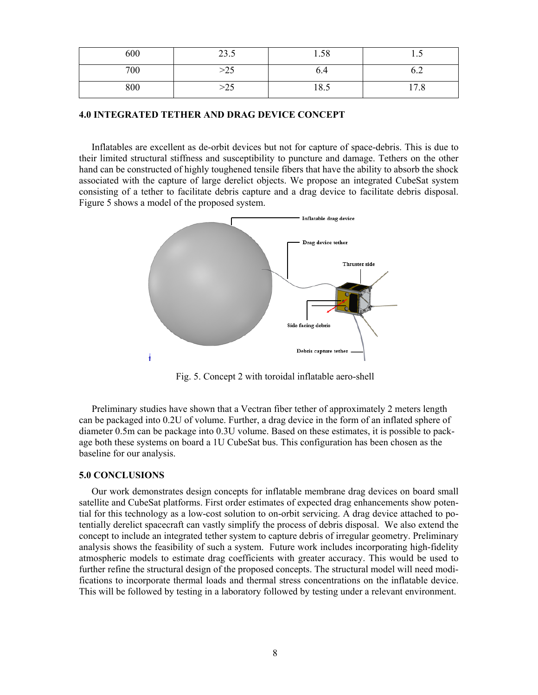| 600 | $\cap$ $\cap$<br>ن ک | $\sim$ $\sim$<br>1.30 | $\cdot\cdot$ |
|-----|----------------------|-----------------------|--------------|
| 700 | د∠∕                  | 0.4                   | $v \sim$     |
| 800 | د∠~                  | $\Omega$<br>18.9      | 1/0          |

## **4.0 INTEGRATED TETHER AND DRAG DEVICE CONCEPT**

Inflatables are excellent as de-orbit devices but not for capture of space-debris. This is due to their limited structural stiffness and susceptibility to puncture and damage. Tethers on the other hand can be constructed of highly toughened tensile fibers that have the ability to absorb the shock associated with the capture of large derelict objects. We propose an integrated CubeSat system consisting of a tether to facilitate debris capture and a drag device to facilitate debris disposal. Figure 5 shows a model of the proposed system.



Fig. 5. Concept 2 with toroidal inflatable aero-shell

Preliminary studies have shown that a Vectran fiber tether of approximately 2 meters length can be packaged into 0.2U of volume. Further, a drag device in the form of an inflated sphere of diameter 0.5m can be package into 0.3U volume. Based on these estimates, it is possible to package both these systems on board a 1U CubeSat bus. This configuration has been chosen as the baseline for our analysis.

#### **5.0 CONCLUSIONS**

Our work demonstrates design concepts for inflatable membrane drag devices on board small satellite and CubeSat platforms. First order estimates of expected drag enhancements show potential for this technology as a low-cost solution to on-orbit servicing. A drag device attached to potentially derelict spacecraft can vastly simplify the process of debris disposal. We also extend the concept to include an integrated tether system to capture debris of irregular geometry. Preliminary analysis shows the feasibility of such a system. Future work includes incorporating high-fidelity atmospheric models to estimate drag coefficients with greater accuracy. This would be used to further refine the structural design of the proposed concepts. The structural model will need modifications to incorporate thermal loads and thermal stress concentrations on the inflatable device. This will be followed by testing in a laboratory followed by testing under a relevant environment.